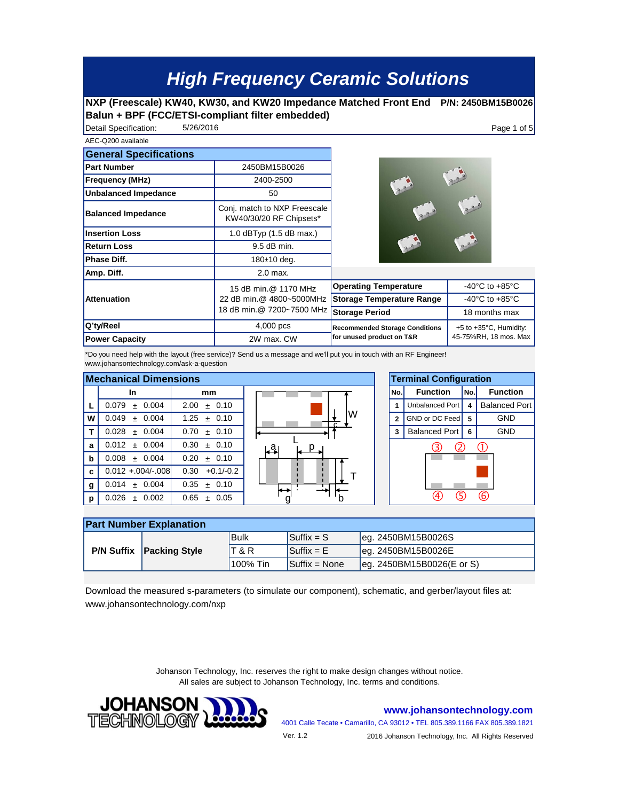## **High Frequency Ceramic Solutions**

## **NXP (Freescale) KW40, KW30, and KW20 Impedance Matched Front End P/N: 2450BM15B0026 Balun + BPF (FCC/ETSI-compliant filter embedded)**

Detail Specification:  $5/26/2016$ 5/26/2016

AEC-Q200 available

| ALU-WAVU QVQIIQUIG            |                                                         |                                       |                                      |  |
|-------------------------------|---------------------------------------------------------|---------------------------------------|--------------------------------------|--|
| <b>General Specifications</b> |                                                         |                                       |                                      |  |
| <b>Part Number</b>            | 2450BM15B0026                                           |                                       |                                      |  |
| <b>Frequency (MHz)</b>        | 2400-2500                                               |                                       |                                      |  |
| <b>Unbalanced Impedance</b>   | 50                                                      |                                       |                                      |  |
| <b>Balanced Impedance</b>     | Conj. match to NXP Freescale<br>KW40/30/20 RF Chipsets* |                                       |                                      |  |
| <b>Insertion Loss</b>         | 1.0 $dBTyp$ (1.5 $dB$ max.)                             |                                       |                                      |  |
| <b>Return Loss</b>            | 9.5 dB min.                                             |                                       |                                      |  |
| <b>Phase Diff.</b>            | 180±10 deg.                                             |                                       |                                      |  |
| Amp. Diff.                    | $2.0$ max.                                              |                                       |                                      |  |
|                               | 15 dB min.@ 1170 MHz                                    | <b>Operating Temperature</b>          | -40 $^{\circ}$ C to +85 $^{\circ}$ C |  |
| <b>Attenuation</b>            | 22 dB min.@ 4800~5000MHz                                | <b>Storage Temperature Range</b>      | -40 $^{\circ}$ C to +85 $^{\circ}$ C |  |
|                               | 18 dB min.@ 7200~7500 MHz                               | <b>Storage Period</b>                 | 18 months max                        |  |
| Q'ty/Reel                     | 4,000 pcs                                               | <b>Recommended Storage Conditions</b> | $+5$ to $+35^{\circ}$ C, Humidity:   |  |
| <b>Power Capacity</b>         | 2W max. CW                                              | for unused product on T&R             | 45-75%RH, 18 mos. Max                |  |

\*Do you need help with the layout (free service)? Send us a message and we'll put you in touch with an RF Engineer! www.johansontechnology.com/ask-a-question

| <b>Mechanical Dimensions</b> |                       |                     |                          |                          | <b>Terminal Configura</b>  |      |  |
|------------------------------|-----------------------|---------------------|--------------------------|--------------------------|----------------------------|------|--|
|                              | In.                   | mm                  |                          | No.                      | <b>Function</b>            | lNo. |  |
|                              | 0.079<br>0.004<br>$+$ | 2.00<br>± 0.10      |                          |                          | Unbalanced Port   4        |      |  |
| W                            | 0.049<br>± 0.004      | 1.25<br>± 0.10      | W<br>$\mathbf{r}$        | $\overline{\phantom{a}}$ | GND or DC Feed   5         |      |  |
|                              | ± 0.004<br>0.028      | 0.70<br>± 0.10      |                          | 3                        | Balanced Port 6            |      |  |
| a                            | $0.012 \pm 0.004$     | 0.30<br>$+0.10$     | ¦al                      |                          | $\boldsymbol{\mathcal{L}}$ |      |  |
| $\mathbf b$                  | 0.008<br>$+ 0.004$    | 0.20<br>± 0.10      |                          |                          |                            |      |  |
| c                            | $0.012 + 0.004/-008$  | $+0.1/-0.2$<br>0.30 |                          |                          |                            |      |  |
| g                            | 0.014<br>0.004<br>$+$ | 0.35<br>± 0.10      | $\overline{\phantom{0}}$ |                          |                            |      |  |
| p                            | 0.026<br>0.002<br>$+$ | 0.65<br>± 0.05      |                          |                          |                            |      |  |





| <b>Part Number Explanation</b> |                                 |                |                                 |                            |  |  |  |  |
|--------------------------------|---------------------------------|----------------|---------------------------------|----------------------------|--|--|--|--|
|                                | <b>P/N Suffix Packing Style</b> | Bulk           | $\mathsf{ISuffix} = \mathsf{S}$ | leg. 2450BM15B0026S        |  |  |  |  |
|                                |                                 | <b>T&amp;R</b> | $\mathsf{ISuffix} = \mathsf{E}$ | leg. 2450BM15B0026E        |  |  |  |  |
|                                |                                 | '100% Tin      | $Suffix = None$                 | leg. 2450BM15B0026(E or S) |  |  |  |  |

Download the measured s-parameters (to simulate our component), schematic, and gerber/layout files at: www.johansontechnology.com/nxp

> Johanson Technology, Inc. reserves the right to make design changes without notice. All sales are subject to Johanson Technology, Inc. terms and conditions.



**www.johansontechnology.com**

4001 Calle Tecate • Camarillo, CA 93012 • TEL 805.389.1166 FAX 805.389.1821

Ver. 1.2

2016 Johanson Technology, Inc. All Rights Reserved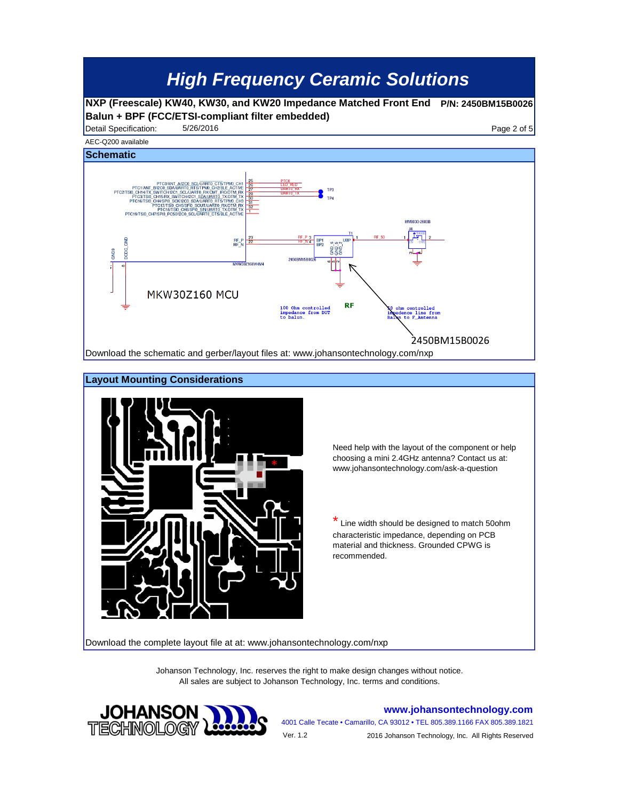## **High Frequency Ceramic Solutions**

**NXP (Freescale) KW40, KW30, and KW20 Impedance Matched Front End P/N: 2450BM15B0026 Balun + BPF (FCC/ETSI-compliant filter embedded)**

Detail Specification: 5/26/2016 5/26/2016 5/26/2016





Need help with the layout of the component or help choosing a mini 2.4GHz antenna? Contact us at: www.johansontechnology.com/ask-a-question

Line width should be designed to match 50ohm characteristic impedance, depending on PCB material and thickness. Grounded CPWG is recommended.

Download the complete layout file at at: www.johansontechnology.com/nxp

Johanson Technology, Inc. reserves the right to make design changes without notice. All sales are subject to Johanson Technology, Inc. terms and conditions.



**www.johansontechnology.com**

4001 Calle Tecate • Camarillo, CA 93012 • TEL 805.389.1166 FAX 805.389.1821 Ver. 1.2 2016 Johanson Technology, Inc. All Rights Reserved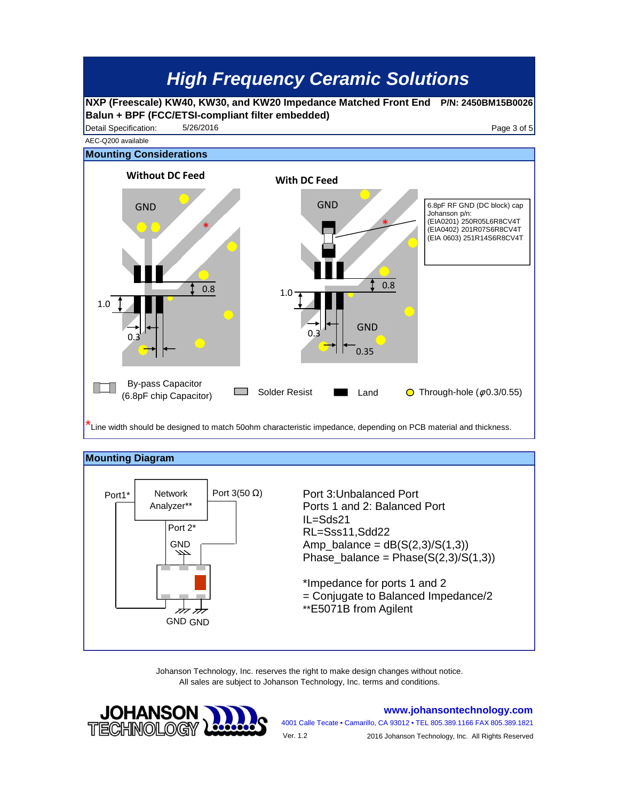



Johanson Technology, Inc. reserves the right to make design changes without notice. All sales are subject to Johanson Technology, Inc. terms and conditions.



**www.johansontechnology.com**

4001 Calle Tecate • Camarillo, CA 93012 • TEL 805.389.1166 FAX 805.389.1821 2016 Johanson Technology, Inc. All Rights Reserved Ver. 1.2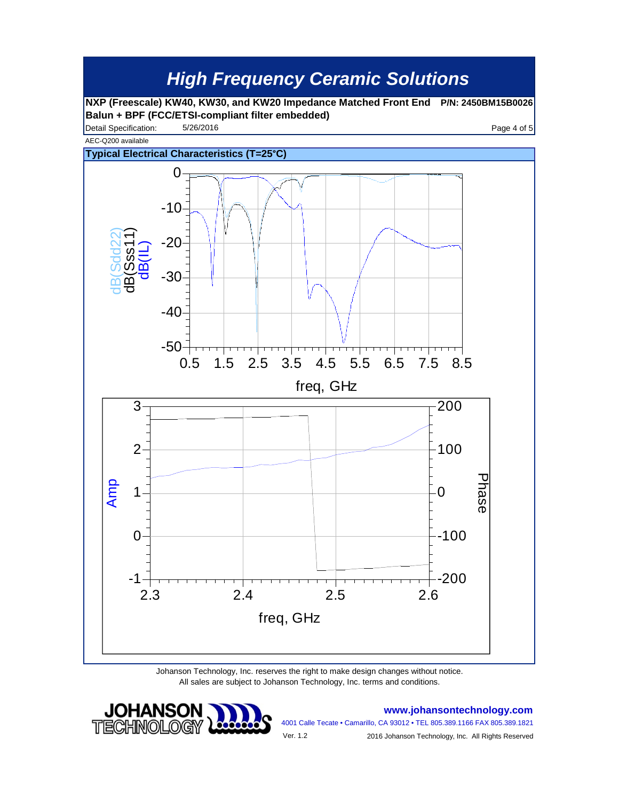

Johanson Technology, Inc. reserves the right to make design changes without notice. All sales are subject to Johanson Technology, Inc. terms and conditions.



**www.johansontechnology.com**

4001 Calle Tecate • Camarillo, CA 93012 • TEL 805.389.1166 FAX 805.389.1821

Ver. 1.2

2016 Johanson Technology, Inc. All Rights Reserved